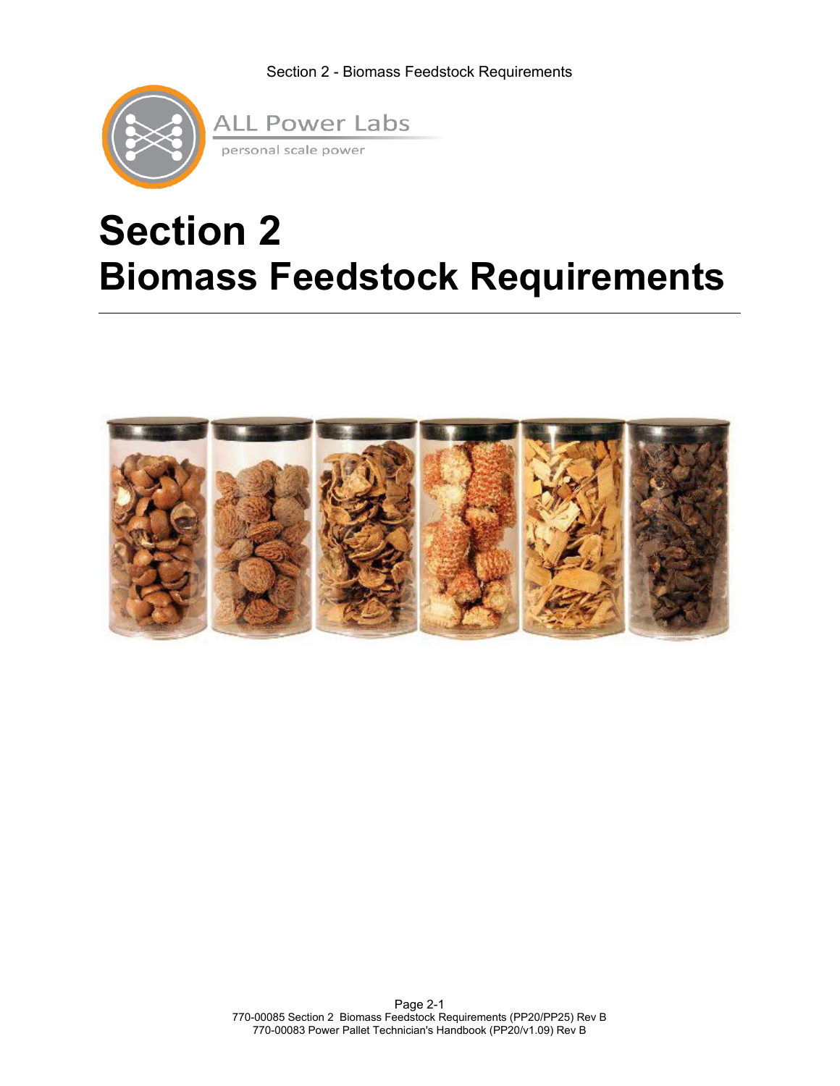

# **Section 2 Biomass Feedstock Requirements**

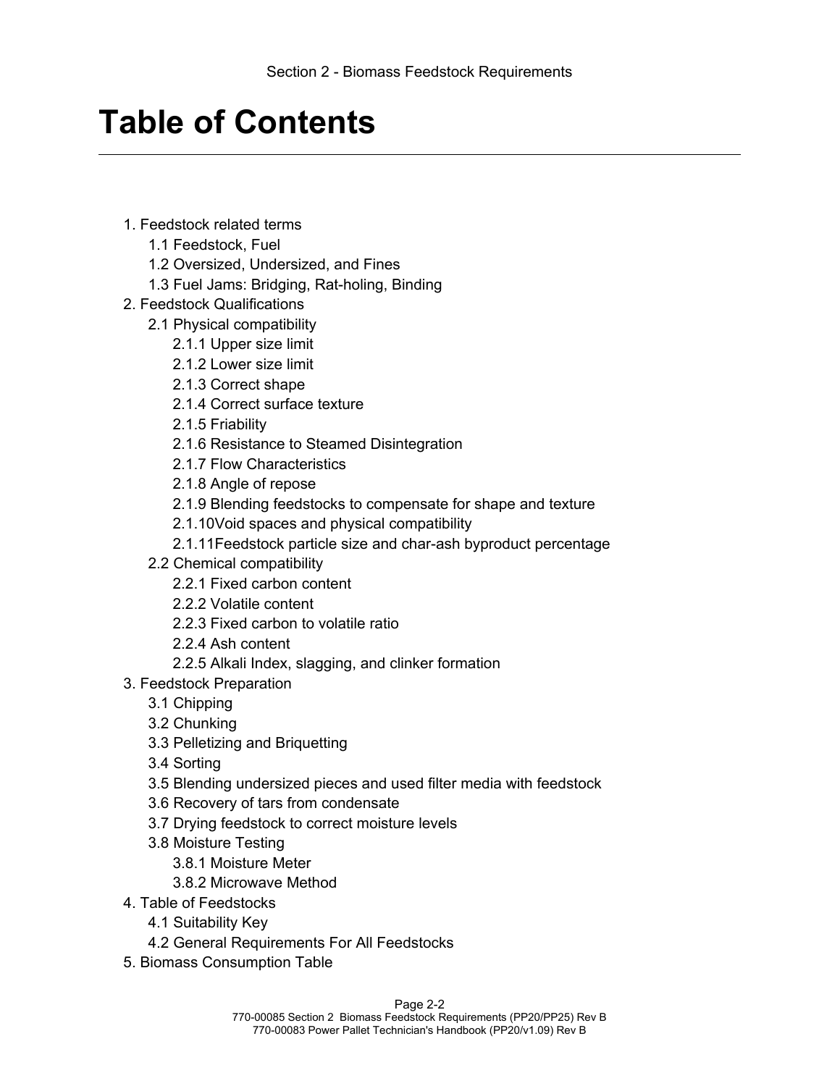## **Table of Contents**

- 1. Feedstock related terms
	- 1.1 Feedstock, Fuel
	- 1.2 Oversized, Undersized, and Fines
	- 1.3 Fuel Jams: Bridging, Rat-holing, Binding
- 2. Feedstock Qualifications
	- 2.1 Physical compatibility
		- 2.1.1 Upper size limit
		- 2.1.2 Lower size limit
		- 2.1.3 Correct shape
		- 2.1.4 Correct surface texture
		- 2.1.5 Friability
		- 2.1.6 Resistance to Steamed Disintegration
		- 2.1.7 Flow Characteristics
		- 2.1.8 Angle of repose
		- 2.1.9 Blending feedstocks to compensate for shape and texture
		- 2.1.10Void spaces and physical compatibility
		- 2.1.11Feedstock particle size and char-ash byproduct percentage
	- 2.2 Chemical compatibility
		- 2.2.1 Fixed carbon content
		- 2.2.2 Volatile content
		- 2.2.3 Fixed carbon to volatile ratio
		- 2.2.4 Ash content
		- 2.2.5 Alkali Index, slagging, and clinker formation
- 3. Feedstock Preparation
	- 3.1 Chipping
	- 3.2 Chunking
	- 3.3 Pelletizing and Briquetting
	- 3.4 Sorting
	- 3.5 Blending undersized pieces and used filter media with feedstock
	- 3.6 Recovery of tars from condensate
	- 3.7 Drying feedstock to correct moisture levels
	- 3.8 Moisture Testing
		- 3.8.1 Moisture Meter
		- 3.8.2 Microwave Method
- 4. Table of Feedstocks
	- 4.1 Suitability Key
	- 4.2 General Requirements For All Feedstocks
- 5. Biomass Consumption Table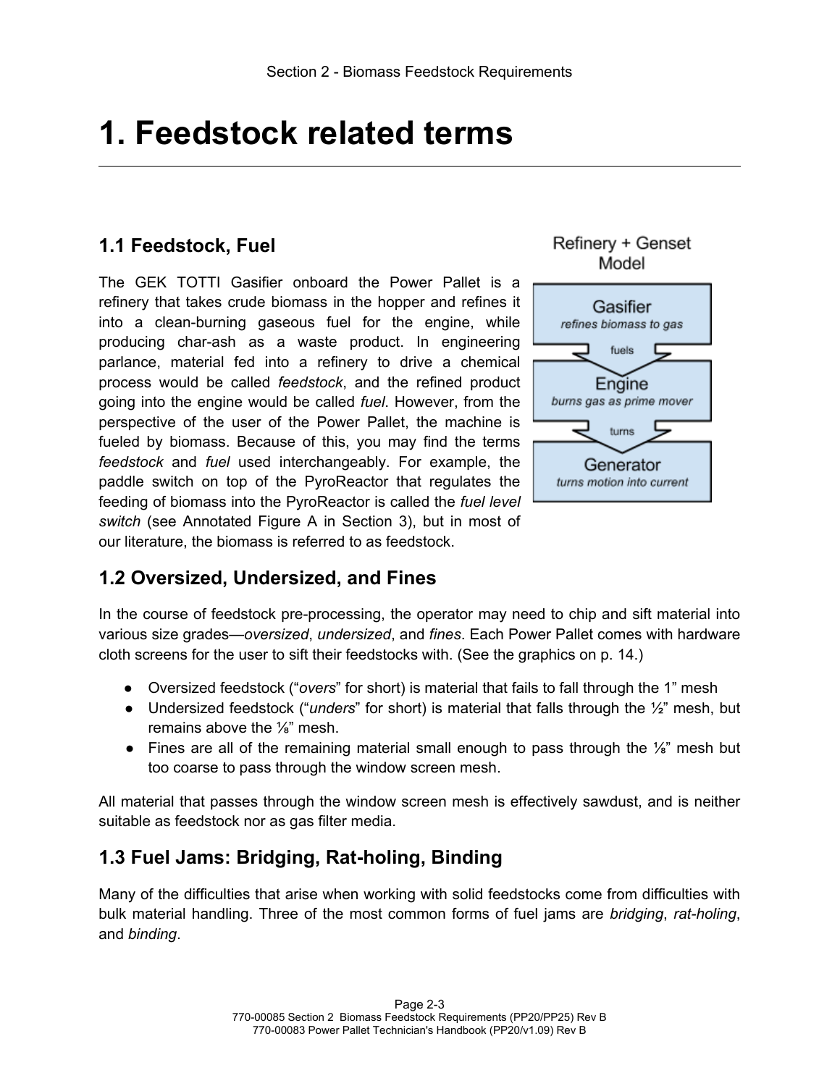## **1. Feedstock related terms**

## **1.1 Feedstock, Fuel**

The GEK TOTTI Gasifier onboard the Power Pallet is a refinery that takes crude biomass in the hopper and refines it into a clean-burning gaseous fuel for the engine, while producing char-ash as a waste product. In engineering parlance, material fed into a refinery to drive a chemical process would be called *feedstock*, and the refined product going into the engine would be called *fuel*. However, from the perspective of the user of the Power Pallet, the machine is fueled by biomass. Because of this, you may find the terms *feedstock* and *fuel* used interchangeably. For example, the paddle switch on top of the PyroReactor that regulates the feeding of biomass into the PyroReactor is called the *fuel level switch* (see Annotated Figure A in Section 3), but in most of our literature, the biomass is referred to as feedstock.



Refinery + Genset

**1.2 Oversized, Undersized, and Fines**

In the course of feedstock pre-processing, the operator may need to chip and sift material into various size grades—*oversized*, *undersized*, and *fines*. Each Power Pallet comes with hardware cloth screens for the user to sift their feedstocks with. (See the graphics on p. 14.)

- Oversized feedstock ("*overs*" for short) is material that fails to fall through the 1" mesh
- Undersized feedstock ("*unders*" for short) is material that falls through the ½" mesh, but remains above the ⅛" mesh.
- Fines are all of the remaining material small enough to pass through the  $\frac{1}{8}$ " mesh but too coarse to pass through the window screen mesh.

All material that passes through the window screen mesh is effectively sawdust, and is neither suitable as feedstock nor as gas filter media.

### **1.3 Fuel Jams: Bridging, Rat-holing, Binding**

Many of the difficulties that arise when working with solid feedstocks come from difficulties with bulk material handling. Three of the most common forms of fuel jams are *bridging*, *rat-holing*, and *binding*.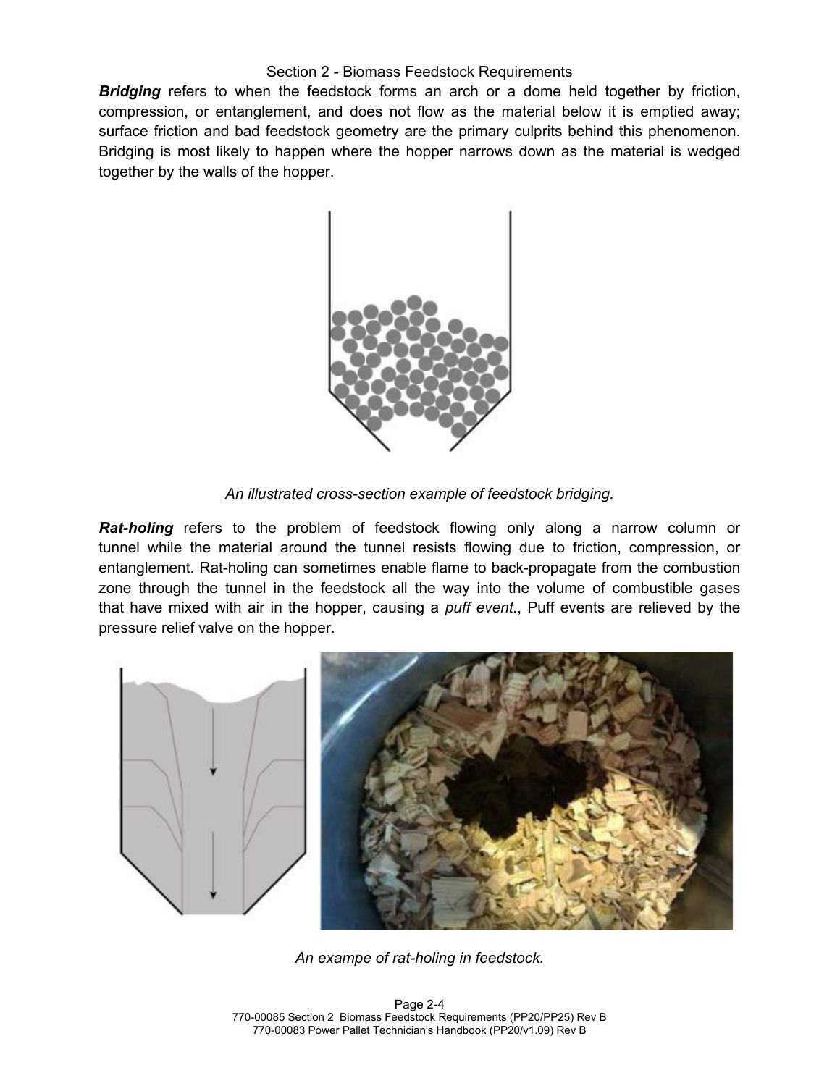*Bridging* refers to when the feedstock forms an arch or a dome held together by friction, compression, or entanglement, and does not flow as the material below it is emptied away; surface friction and bad feedstock geometry are the primary culprits behind this phenomenon. Bridging is most likely to happen where the hopper narrows down as the material is wedged together by the walls of the hopper.



*An illustrated cross-section example of feedstock bridging.*

*Rat-holing* refers to the problem of feedstock flowing only along a narrow column or tunnel while the material around the tunnel resists flowing due to friction, compression, or entanglement. Rat-holing can sometimes enable flame to back-propagate from the combustion zone through the tunnel in the feedstock all the way into the volume of combustible gases that have mixed with air in the hopper, causing a *puff event.*, Puff events are relieved by the pressure relief valve on the hopper.



*An exampe of rat-holing in feedstock.*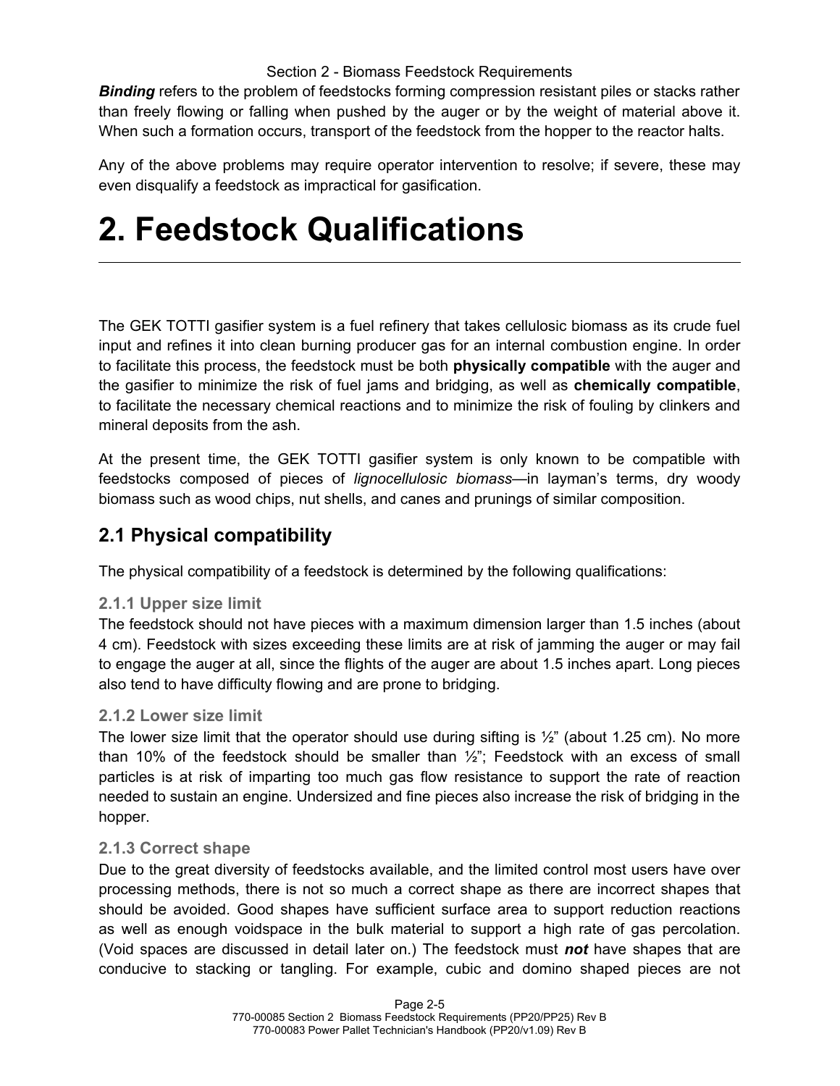*Binding* refers to the problem of feedstocks forming compression resistant piles or stacks rather than freely flowing or falling when pushed by the auger or by the weight of material above it. When such a formation occurs, transport of the feedstock from the hopper to the reactor halts.

Any of the above problems may require operator intervention to resolve; if severe, these may even disqualify a feedstock as impractical for gasification.

## **2. Feedstock Qualifications**

The GEK TOTTI gasifier system is a fuel refinery that takes cellulosic biomass as its crude fuel input and refines it into clean burning producer gas for an internal combustion engine. In order to facilitate this process, the feedstock must be both **physically compatible** with the auger and the gasifier to minimize the risk of fuel jams and bridging, as well as **chemically compatible**, to facilitate the necessary chemical reactions and to minimize the risk of fouling by clinkers and mineral deposits from the ash.

At the present time, the GEK TOTTI gasifier system is only known to be compatible with feedstocks composed of pieces of *lignocellulosic biomass*—in layman's terms, dry woody biomass such as wood chips, nut shells, and canes and prunings of similar composition.

## **2.1 Physical compatibility**

The physical compatibility of a feedstock is determined by the following qualifications:

#### **2.1.1 Upper size limit**

The feedstock should not have pieces with a maximum dimension larger than 1.5 inches (about 4 cm). Feedstock with sizes exceeding these limits are at risk of jamming the auger or may fail to engage the auger at all, since the flights of the auger are about 1.5 inches apart. Long pieces also tend to have difficulty flowing and are prone to bridging.

#### **2.1.2 Lower size limit**

The lower size limit that the operator should use during sifting is  $\frac{1}{2}$ " (about 1.25 cm). No more than 10% of the feedstock should be smaller than  $\frac{1}{2}$ ; Feedstock with an excess of small particles is at risk of imparting too much gas flow resistance to support the rate of reaction needed to sustain an engine. Undersized and fine pieces also increase the risk of bridging in the hopper.

#### **2.1.3 Correct shape**

Due to the great diversity of feedstocks available, and the limited control most users have over processing methods, there is not so much a correct shape as there are incorrect shapes that should be avoided. Good shapes have sufficient surface area to support reduction reactions as well as enough voidspace in the bulk material to support a high rate of gas percolation. (Void spaces are discussed in detail later on.) The feedstock must *not* have shapes that are conducive to stacking or tangling. For example, cubic and domino shaped pieces are not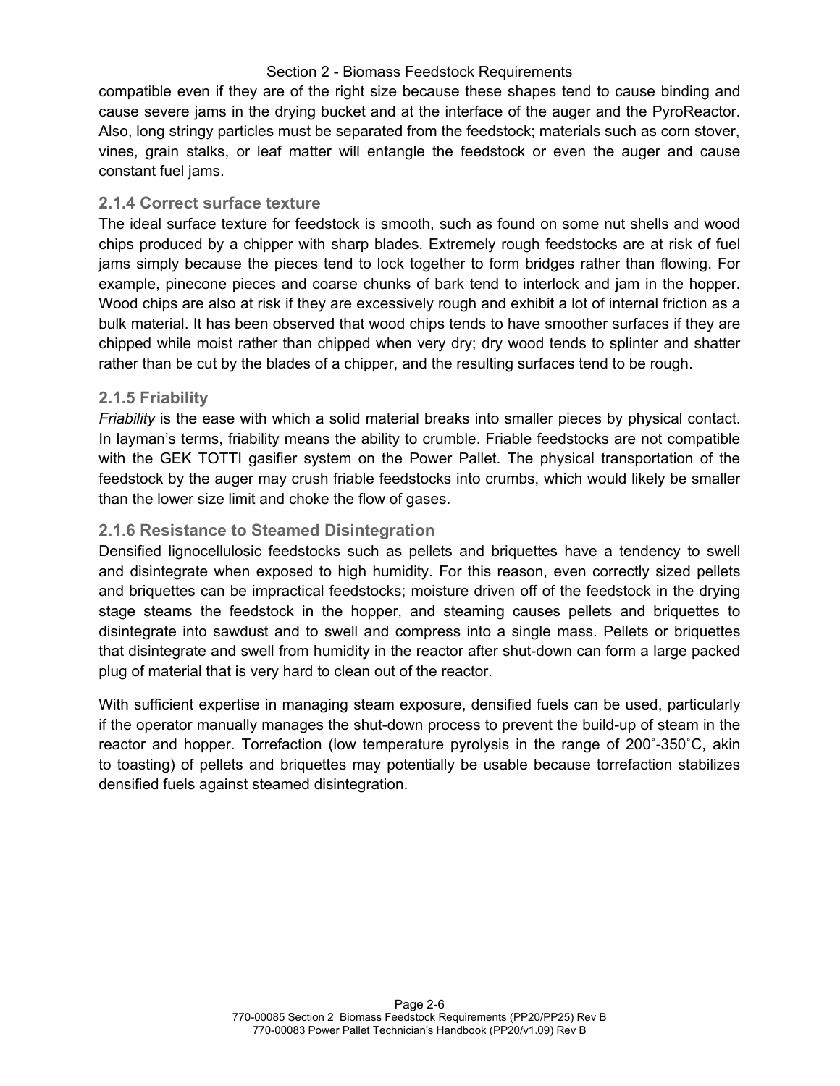compatible even if they are of the right size because these shapes tend to cause binding and cause severe jams in the drying bucket and at the interface of the auger and the PyroReactor. Also, long stringy particles must be separated from the feedstock; materials such as corn stover, vines, grain stalks, or leaf matter will entangle the feedstock or even the auger and cause constant fuel jams.

#### **2.1.4 Correct surface texture**

The ideal surface texture for feedstock is smooth, such as found on some nut shells and wood chips produced by a chipper with sharp blades. Extremely rough feedstocks are at risk of fuel jams simply because the pieces tend to lock together to form bridges rather than flowing. For example, pinecone pieces and coarse chunks of bark tend to interlock and jam in the hopper. Wood chips are also at risk if they are excessively rough and exhibit a lot of internal friction as a bulk material. It has been observed that wood chips tends to have smoother surfaces if they are chipped while moist rather than chipped when very dry; dry wood tends to splinter and shatter rather than be cut by the blades of a chipper, and the resulting surfaces tend to be rough.

#### **2.1.5 Friability**

*Friability* is the ease with which a solid material breaks into smaller pieces by physical contact. In layman's terms, friability means the ability to crumble. Friable feedstocks are not compatible with the GEK TOTTI gasifier system on the Power Pallet. The physical transportation of the feedstock by the auger may crush friable feedstocks into crumbs, which would likely be smaller than the lower size limit and choke the flow of gases.

#### **2.1.6 Resistance to Steamed Disintegration**

Densified lignocellulosic feedstocks such as pellets and briquettes have a tendency to swell and disintegrate when exposed to high humidity. For this reason, even correctly sized pellets and briquettes can be impractical feedstocks; moisture driven off of the feedstock in the drying stage steams the feedstock in the hopper, and steaming causes pellets and briquettes to disintegrate into sawdust and to swell and compress into a single mass. Pellets or briquettes that disintegrate and swell from humidity in the reactor after shut-down can form a large packed plug of material that is very hard to clean out of the reactor.

With sufficient expertise in managing steam exposure, densified fuels can be used, particularly if the operator manually manages the shut-down process to prevent the build-up of steam in the reactor and hopper. Torrefaction (low temperature pyrolysis in the range of 200˚-350˚C, akin to toasting) of pellets and briquettes may potentially be usable because torrefaction stabilizes densified fuels against steamed disintegration.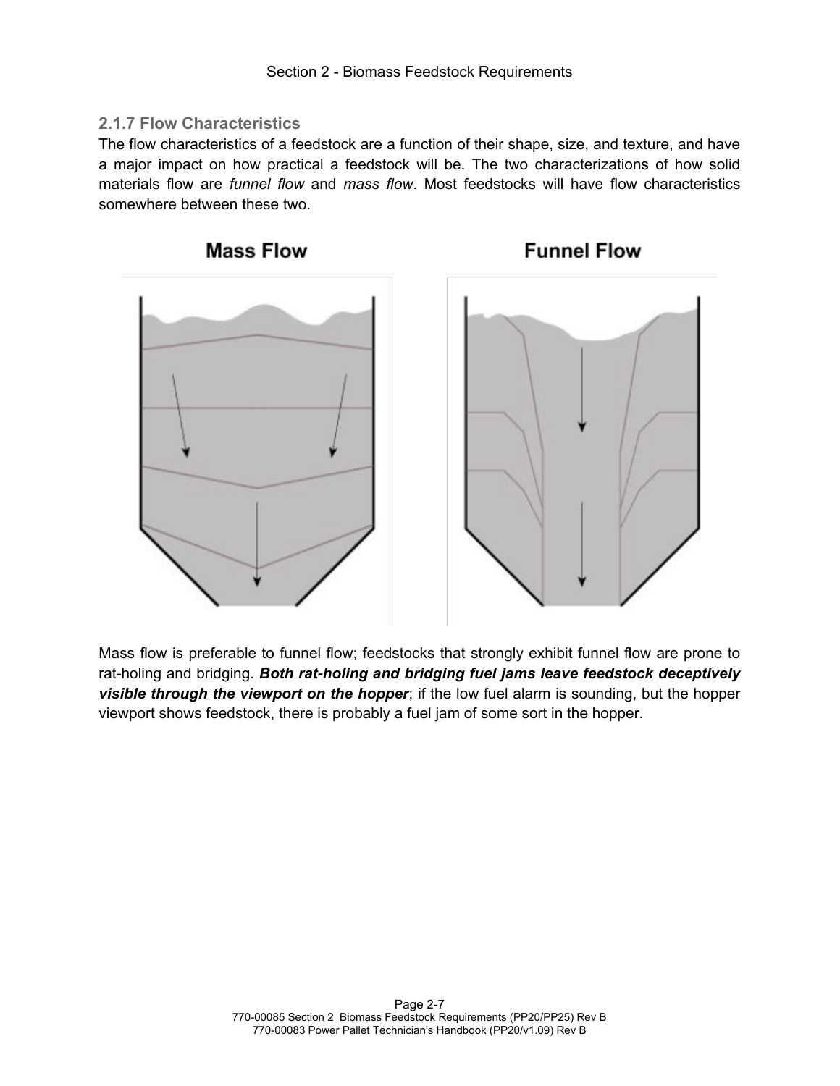#### **2.1.7 Flow Characteristics**

The flow characteristics of a feedstock are a function of their shape, size, and texture, and have a major impact on how practical a feedstock will be. The two characterizations of how solid materials flow are *funnel flow* and *mass flow*. Most feedstocks will have flow characteristics somewhere between these two.



Mass flow is preferable to funnel flow; feedstocks that strongly exhibit funnel flow are prone to rat-holing and bridging. *Both rat-holing and bridging fuel jams leave feedstock deceptively visible through the viewport on the hopper*; if the low fuel alarm is sounding, but the hopper viewport shows feedstock, there is probably a fuel jam of some sort in the hopper.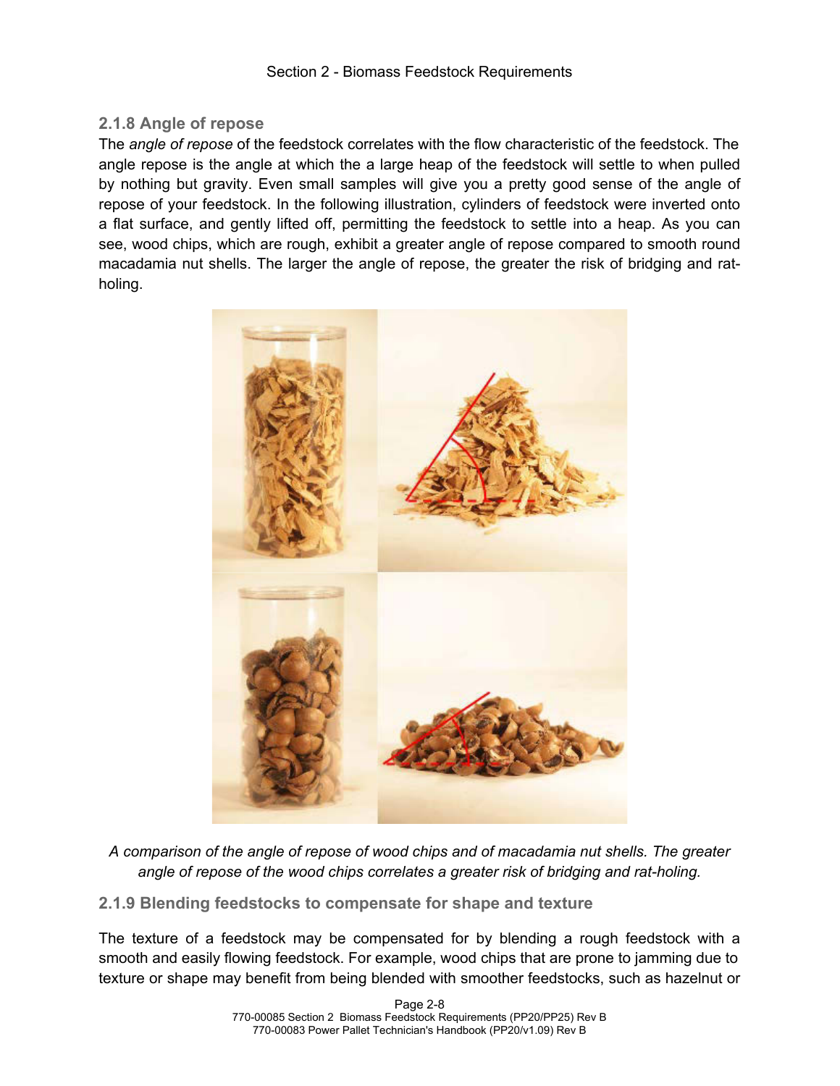#### **2.1.8 Angle of repose**

The *angle of repose* of the feedstock correlates with the flow characteristic of the feedstock. The angle repose is the angle at which the a large heap of the feedstock will settle to when pulled by nothing but gravity. Even small samples will give you a pretty good sense of the angle of repose of your feedstock. In the following illustration, cylinders of feedstock were inverted onto a flat surface, and gently lifted off, permitting the feedstock to settle into a heap. As you can see, wood chips, which are rough, exhibit a greater angle of repose compared to smooth round macadamia nut shells. The larger the angle of repose, the greater the risk of bridging and ratholing.



*A comparison of the angle of repose of wood chips and of macadamia nut shells. The greater angle of repose of the wood chips correlates a greater risk of bridging and rat-holing.*

**2.1.9 Blending feedstocks to compensate for shape and texture**

The texture of a feedstock may be compensated for by blending a rough feedstock with a smooth and easily flowing feedstock. For example, wood chips that are prone to jamming due to texture or shape may benefit from being blended with smoother feedstocks, such as hazelnut or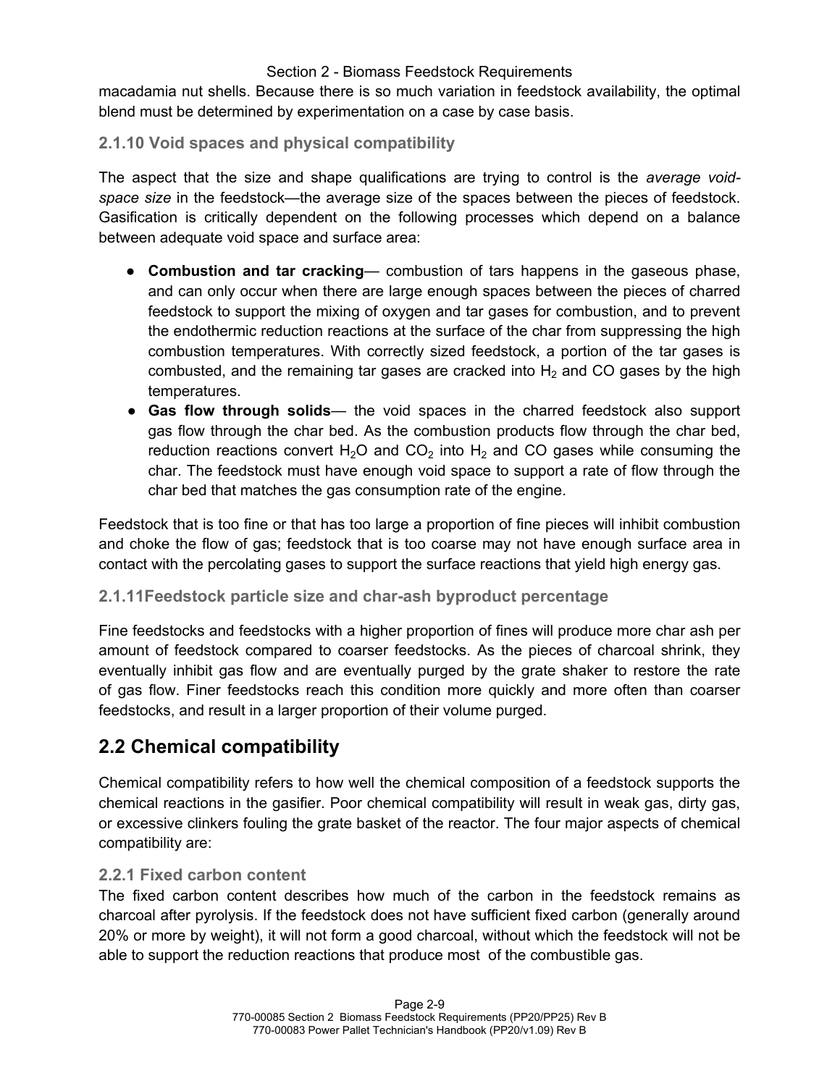macadamia nut shells. Because there is so much variation in feedstock availability, the optimal blend must be determined by experimentation on a case by case basis.

#### **2.1.10 Void spaces and physical compatibility**

The aspect that the size and shape qualifications are trying to control is the *average void*space size in the feedstock—the average size of the spaces between the pieces of feedstock. Gasification is critically dependent on the following processes which depend on a balance between adequate void space and surface area:

- **Combustion and tar cracking** combustion of tars happens in the gaseous phase, and can only occur when there are large enough spaces between the pieces of charred feedstock to support the mixing of oxygen and tar gases for combustion, and to prevent the endothermic reduction reactions at the surface of the char from suppressing the high combustion temperatures. With correctly sized feedstock, a portion of the tar gases is combusted, and the remaining tar gases are cracked into  $H_2$  and CO gases by the high temperatures.
- **Gas flow through solids** the void spaces in the charred feedstock also support gas flow through the char bed. As the combustion products flow through the char bed, reduction reactions convert H<sub>2</sub>O and CO<sub>2</sub> into H<sub>2</sub> and CO gases while consuming the char. The feedstock must have enough void space to support a rate of flow through the char bed that matches the gas consumption rate of the engine.

Feedstock that is too fine or that has too large a proportion of fine pieces will inhibit combustion and choke the flow of gas; feedstock that is too coarse may not have enough surface area in contact with the percolating gases to support the surface reactions that yield high energy gas.

#### **2.1.11Feedstock particle size and char-ash byproduct percentage**

Fine feedstocks and feedstocks with a higher proportion of fines will produce more char ash per amount of feedstock compared to coarser feedstocks. As the pieces of charcoal shrink, they eventually inhibit gas flow and are eventually purged by the grate shaker to restore the rate of gas flow. Finer feedstocks reach this condition more quickly and more often than coarser feedstocks, and result in a larger proportion of their volume purged.

### **2.2 Chemical compatibility**

Chemical compatibility refers to how well the chemical composition of a feedstock supports the chemical reactions in the gasifier. Poor chemical compatibility will result in weak gas, dirty gas, or excessive clinkers fouling the grate basket of the reactor. The four major aspects of chemical compatibility are:

#### **2.2.1 Fixed carbon content**

The fixed carbon content describes how much of the carbon in the feedstock remains as charcoal after pyrolysis. If the feedstock does not have sufficient fixed carbon (generally around 20% or more by weight), it will not form a good charcoal, without which the feedstock will not be able to support the reduction reactions that produce most of the combustible gas.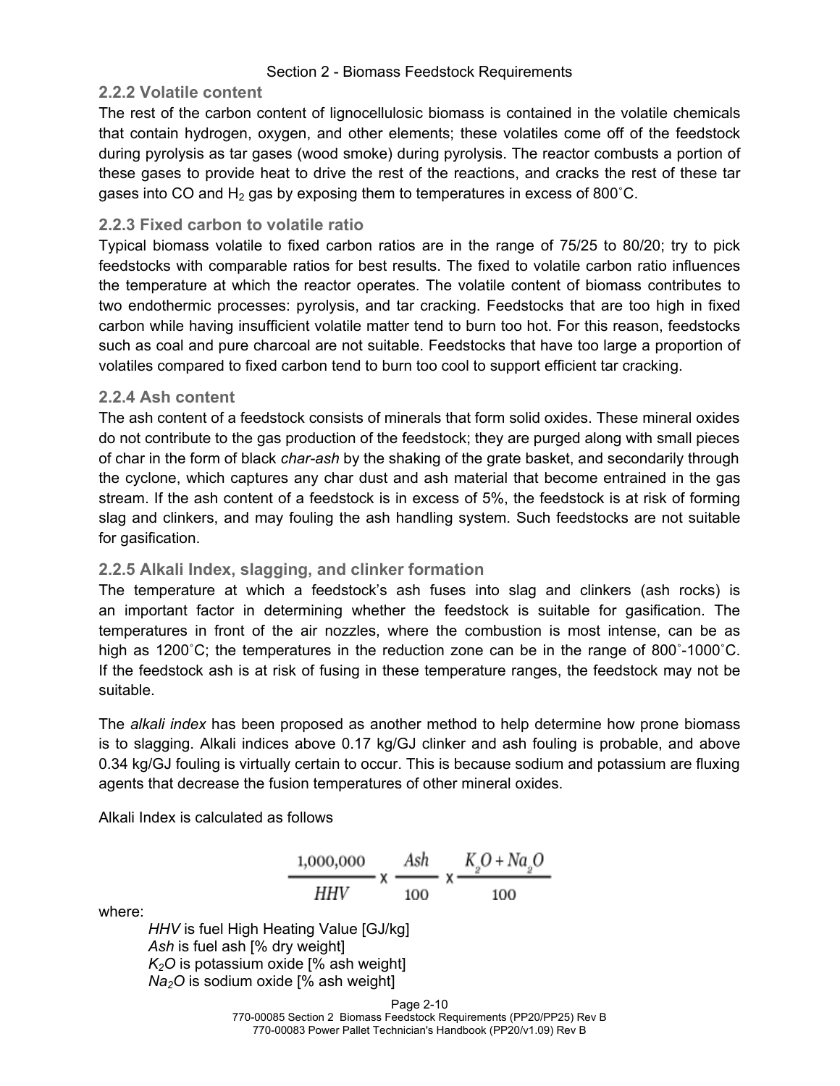#### **2.2.2 Volatile content**

The rest of the carbon content of lignocellulosic biomass is contained in the volatile chemicals that contain hydrogen, oxygen, and other elements; these volatiles come off of the feedstock during pyrolysis as tar gases (wood smoke) during pyrolysis. The reactor combusts a portion of these gases to provide heat to drive the rest of the reactions, and cracks the rest of these tar gases into CO and  $H_2$  gas by exposing them to temperatures in excess of 800 $^{\circ}$ C.

#### **2.2.3 Fixed carbon to volatile ratio**

Typical biomass volatile to fixed carbon ratios are in the range of 75/25 to 80/20; try to pick feedstocks with comparable ratios for best results. The fixed to volatile carbon ratio influences the temperature at which the reactor operates. The volatile content of biomass contributes to two endothermic processes: pyrolysis, and tar cracking. Feedstocks that are too high in fixed carbon while having insufficient volatile matter tend to burn too hot. For this reason, feedstocks such as coal and pure charcoal are not suitable. Feedstocks that have too large a proportion of volatiles compared to fixed carbon tend to burn too cool to support efficient tar cracking.

#### **2.2.4 Ash content**

The ash content of a feedstock consists of minerals that form solid oxides. These mineral oxides do not contribute to the gas production of the feedstock; they are purged along with small pieces of char in the form of black *char-ash* by the shaking of the grate basket, and secondarily through the cyclone, which captures any char dust and ash material that become entrained in the gas stream. If the ash content of a feedstock is in excess of 5%, the feedstock is at risk of forming slag and clinkers, and may fouling the ash handling system. Such feedstocks are not suitable for gasification.

#### **2.2.5 Alkali Index, slagging, and clinker formation**

The temperature at which a feedstock's ash fuses into slag and clinkers (ash rocks) is an important factor in determining whether the feedstock is suitable for gasification. The temperatures in front of the air nozzles, where the combustion is most intense, can be as high as 1200°C; the temperatures in the reduction zone can be in the range of 800°-1000°C. If the feedstock ash is at risk of fusing in these temperature ranges, the feedstock may not be suitable.

The *alkali index* has been proposed as another method to help determine how prone biomass is to slagging. Alkali indices above 0.17 kg/GJ clinker and ash fouling is probable, and above 0.34 kg/GJ fouling is virtually certain to occur. This is because sodium and potassium are fluxing agents that decrease the fusion temperatures of other mineral oxides.

Alkali Index is calculated as follows

$$
\frac{1,000,000}{HHV} \times \frac{Ash}{100} \times \frac{K_2O + Na_2O}{100}
$$

where:

*HHV* is fuel High Heating Value [GJ/kg] *Ash* is fuel ash [% dry weight] *K2O* is potassium oxide [% ash weight] *Na2O* is sodium oxide [% ash weight]

Page 2-10

770-00085 Section 2 Biomass Feedstock Requirements (PP20/PP25) Rev B 770-00083 Power Pallet Technician's Handbook (PP20/v1.09) Rev B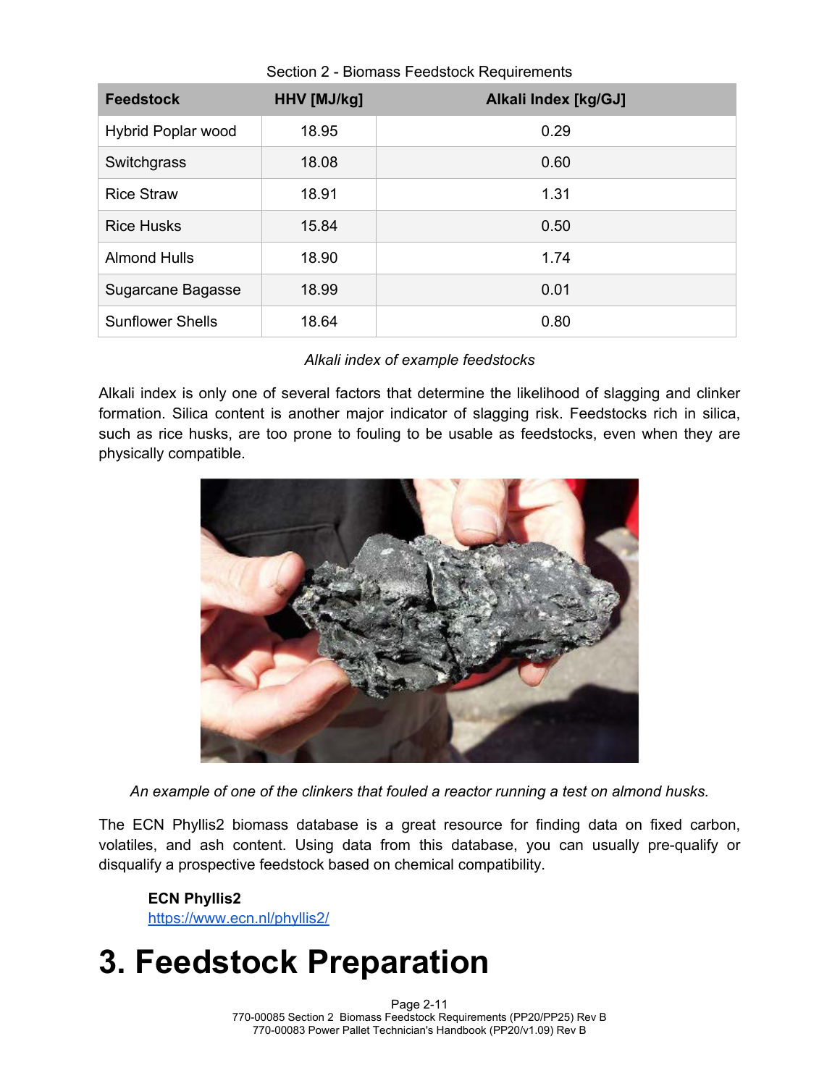| <b>Feedstock</b>        | HHV [MJ/kg] | Alkali Index [kg/GJ] |
|-------------------------|-------------|----------------------|
| Hybrid Poplar wood      | 18.95       | 0.29                 |
| Switchgrass             | 18.08       | 0.60                 |
| <b>Rice Straw</b>       | 18.91       | 1.31                 |
| <b>Rice Husks</b>       | 15.84       | 0.50                 |
| <b>Almond Hulls</b>     | 18.90       | 1.74                 |
| Sugarcane Bagasse       | 18.99       | 0.01                 |
| <b>Sunflower Shells</b> | 18.64       | 0.80                 |

Section 2 - Biomass Feedstock Requirements

#### *Alkali index of example feedstocks*

Alkali index is only one of several factors that determine the likelihood of slagging and clinker formation. Silica content is another major indicator of slagging risk. Feedstocks rich in silica, such as rice husks, are too prone to fouling to be usable as feedstocks, even when they are physically compatible.



*An example of one of the clinkers that fouled a reactor running a test on almond husks.*

The ECN Phyllis2 biomass database is a great resource for finding data on fixed carbon, volatiles, and ash content. Using data from this database, you can usually pre-qualify or disqualify a prospective feedstock based on chemical compatibility.

#### **ECN Phyllis2**

https://www.ecn.nl/phyllis2/

## **3. Feedstock Preparation**

Page 2-11 770-00085 Section 2 Biomass Feedstock Requirements (PP20/PP25) Rev B 770-00083 Power Pallet Technician's Handbook (PP20/v1.09) Rev B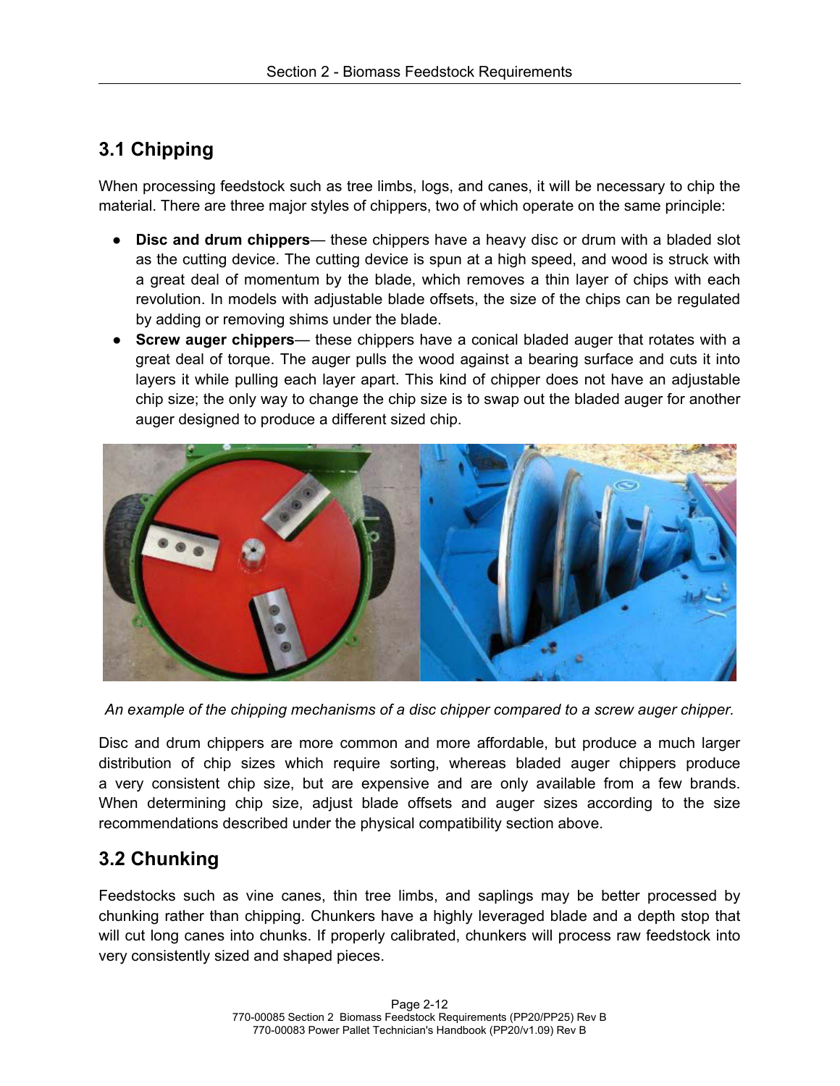## **3.1 Chipping**

When processing feedstock such as tree limbs, logs, and canes, it will be necessary to chip the material. There are three major styles of chippers, two of which operate on the same principle:

- **Disc and drum chippers** these chippers have a heavy disc or drum with a bladed slot as the cutting device. The cutting device is spun at a high speed, and wood is struck with a great deal of momentum by the blade, which removes a thin layer of chips with each revolution. In models with adjustable blade offsets, the size of the chips can be regulated by adding or removing shims under the blade.
- **Screw auger chippers** these chippers have a conical bladed auger that rotates with a great deal of torque. The auger pulls the wood against a bearing surface and cuts it into layers it while pulling each layer apart. This kind of chipper does not have an adjustable chip size; the only way to change the chip size is to swap out the bladed auger for another auger designed to produce a different sized chip.



*An example of the chipping mechanisms of a disc chipper compared to a screw auger chipper.*

Disc and drum chippers are more common and more affordable, but produce a much larger distribution of chip sizes which require sorting, whereas bladed auger chippers produce a very consistent chip size, but are expensive and are only available from a few brands. When determining chip size, adjust blade offsets and auger sizes according to the size recommendations described under the physical compatibility section above.

### **3.2 Chunking**

Feedstocks such as vine canes, thin tree limbs, and saplings may be better processed by chunking rather than chipping. Chunkers have a highly leveraged blade and a depth stop that will cut long canes into chunks. If properly calibrated, chunkers will process raw feedstock into very consistently sized and shaped pieces.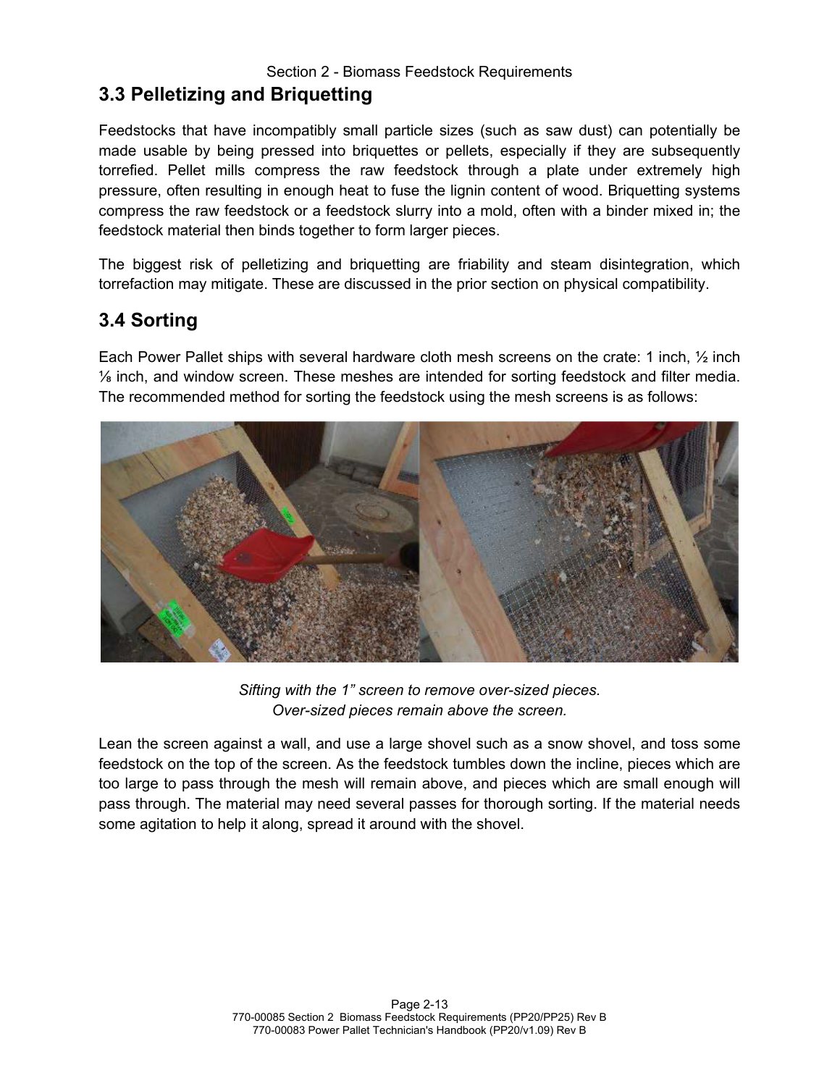## **3.3 Pelletizing and Briquetting**

Feedstocks that have incompatibly small particle sizes (such as saw dust) can potentially be made usable by being pressed into briquettes or pellets, especially if they are subsequently torrefied. Pellet mills compress the raw feedstock through a plate under extremely high pressure, often resulting in enough heat to fuse the lignin content of wood. Briquetting systems compress the raw feedstock or a feedstock slurry into a mold, often with a binder mixed in; the feedstock material then binds together to form larger pieces.

The biggest risk of pelletizing and briquetting are friability and steam disintegration, which torrefaction may mitigate. These are discussed in the prior section on physical compatibility.

### **3.4 Sorting**

Each Power Pallet ships with several hardware cloth mesh screens on the crate: 1 inch, ½ inch ⅛ inch, and window screen. These meshes are intended for sorting feedstock and filter media. The recommended method for sorting the feedstock using the mesh screens is as follows:



*Sifting with the 1" screen to remove over-sized pieces. Over-sized pieces remain above the screen.*

Lean the screen against a wall, and use a large shovel such as a snow shovel, and toss some feedstock on the top of the screen. As the feedstock tumbles down the incline, pieces which are too large to pass through the mesh will remain above, and pieces which are small enough will pass through. The material may need several passes for thorough sorting. If the material needs some agitation to help it along, spread it around with the shovel.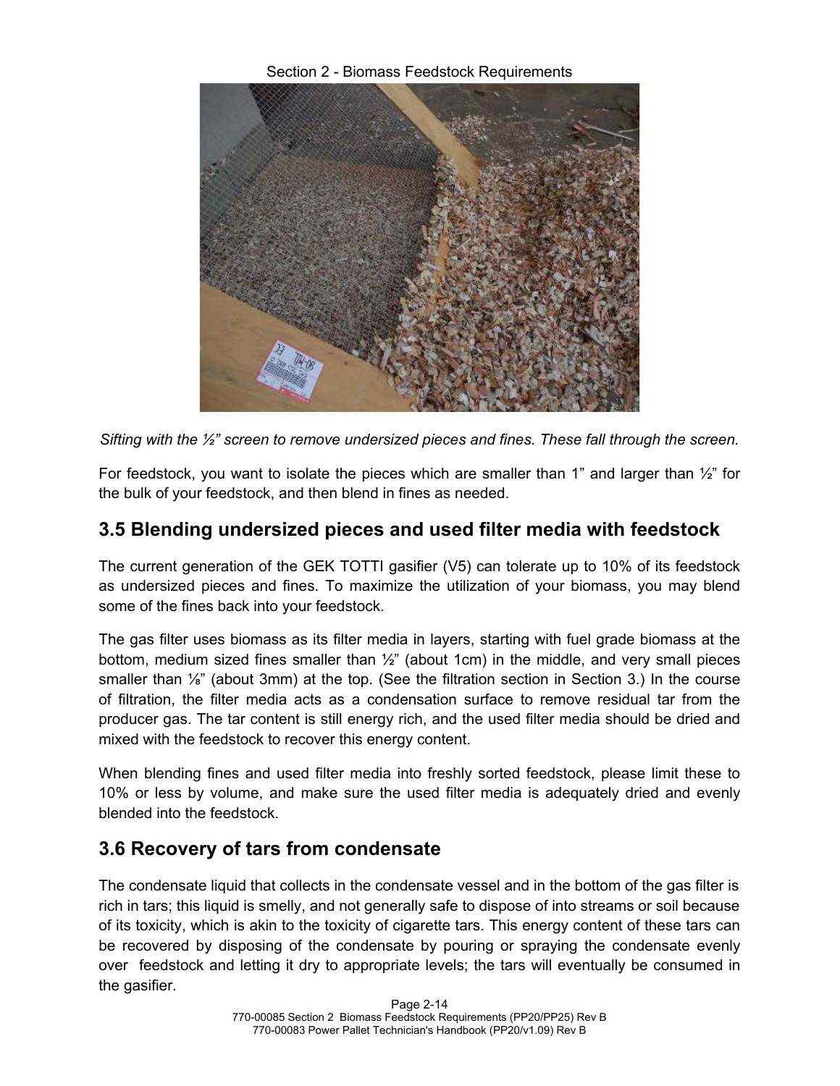Section 2 - Biomass Feedstock Requirements



*Sifting with the ½" screen to remove undersized pieces and fines. These fall through the screen.*

For feedstock, you want to isolate the pieces which are smaller than 1" and larger than  $\frac{1}{2}$ " for the bulk of your feedstock, and then blend in fines as needed.

## **3.5 Blending undersized pieces and used filter media with feedstock**

The current generation of the GEK TOTTI gasifier (V5) can tolerate up to 10% of its feedstock as undersized pieces and fines. To maximize the utilization of your biomass, you may blend some of the fines back into your feedstock.

The gas filter uses biomass as its filter media in layers, starting with fuel grade biomass at the bottom, medium sized fines smaller than  $\frac{1}{2}$ " (about 1cm) in the middle, and very small pieces smaller than ⅛" (about 3mm) at the top. (See the filtration section in Section 3.) In the course of filtration, the filter media acts as a condensation surface to remove residual tar from the producer gas. The tar content is still energy rich, and the used filter media should be dried and mixed with the feedstock to recover this energy content.

When blending fines and used filter media into freshly sorted feedstock, please limit these to 10% or less by volume, and make sure the used filter media is adequately dried and evenly blended into the feedstock.

### **3.6 Recovery of tars from condensate**

The condensate liquid that collects in the condensate vessel and in the bottom of the gas filter is rich in tars; this liquid is smelly, and not generally safe to dispose of into streams or soil because of its toxicity, which is akin to the toxicity of cigarette tars. This energy content of these tars can be recovered by disposing of the condensate by pouring or spraying the condensate evenly over feedstock and letting it dry to appropriate levels; the tars will eventually be consumed in the gasifier.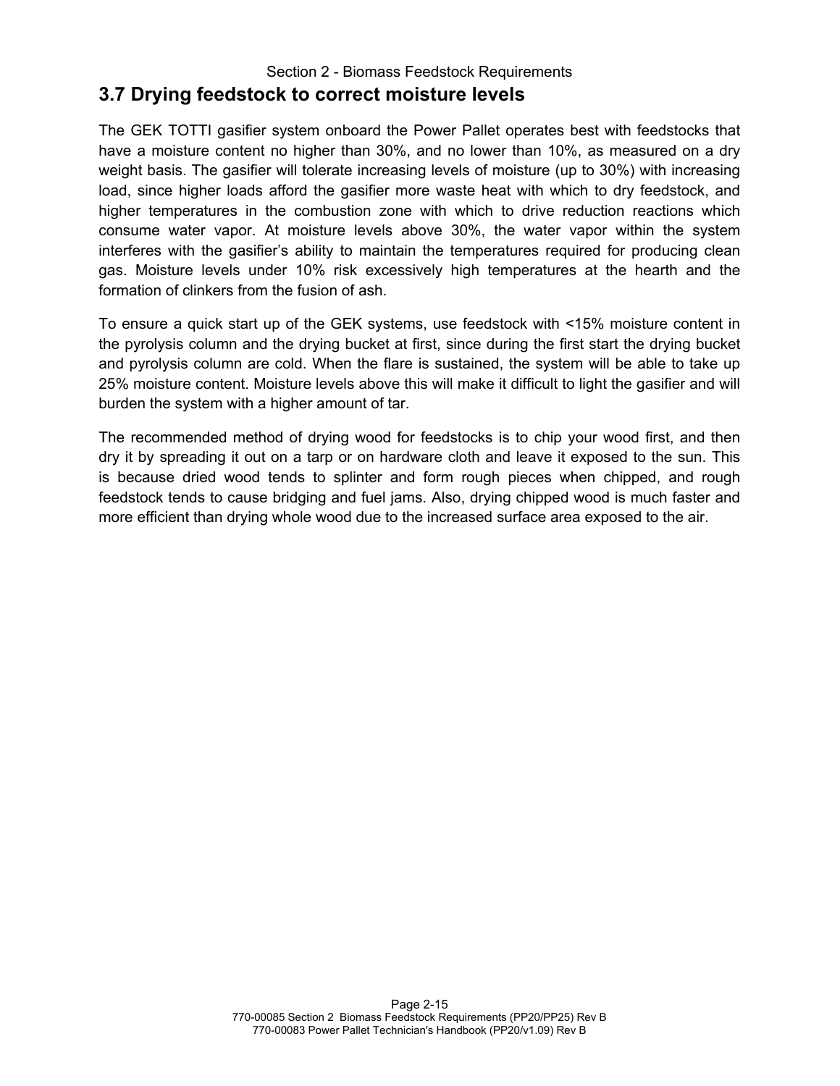#### Section 2 - Biomass Feedstock Requirements **3.7 Drying feedstock to correct moisture levels**

The GEK TOTTI gasifier system onboard the Power Pallet operates best with feedstocks that have a moisture content no higher than 30%, and no lower than 10%, as measured on a dry weight basis. The gasifier will tolerate increasing levels of moisture (up to 30%) with increasing load, since higher loads afford the gasifier more waste heat with which to dry feedstock, and higher temperatures in the combustion zone with which to drive reduction reactions which consume water vapor. At moisture levels above 30%, the water vapor within the system interferes with the gasifier's ability to maintain the temperatures required for producing clean gas. Moisture levels under 10% risk excessively high temperatures at the hearth and the formation of clinkers from the fusion of ash.

To ensure a quick start up of the GEK systems, use feedstock with <15% moisture content in the pyrolysis column and the drying bucket at first, since during the first start the drying bucket and pyrolysis column are cold. When the flare is sustained, the system will be able to take up 25% moisture content. Moisture levels above this will make it difficult to light the gasifier and will burden the system with a higher amount of tar.

The recommended method of drying wood for feedstocks is to chip your wood first, and then dry it by spreading it out on a tarp or on hardware cloth and leave it exposed to the sun. This is because dried wood tends to splinter and form rough pieces when chipped, and rough feedstock tends to cause bridging and fuel jams. Also, drying chipped wood is much faster and more efficient than drying whole wood due to the increased surface area exposed to the air.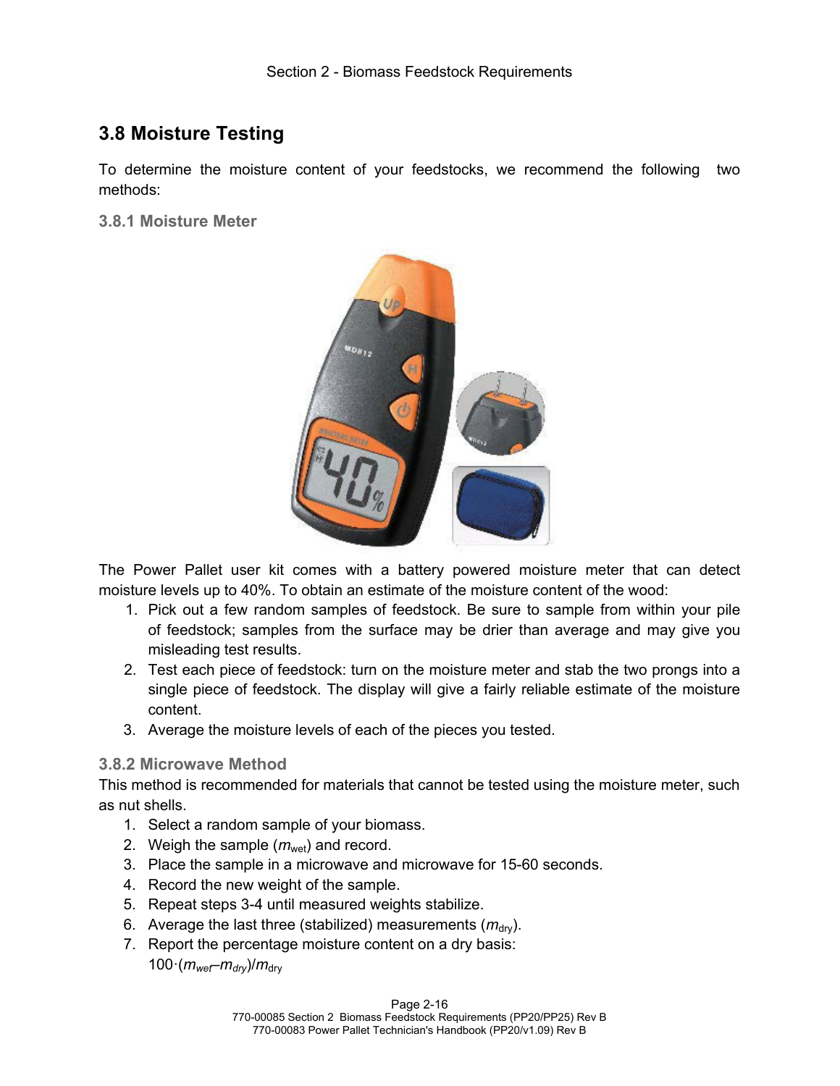## **3.8 Moisture Testing**

To determine the moisture content of your feedstocks, we recommend the following two methods:

**3.8.1 Moisture Meter**



The Power Pallet user kit comes with a battery powered moisture meter that can detect moisture levels up to 40%. To obtain an estimate of the moisture content of the wood:

- 1. Pick out a few random samples of feedstock. Be sure to sample from within your pile of feedstock; samples from the surface may be drier than average and may give you misleading test results.
- 2. Test each piece of feedstock: turn on the moisture meter and stab the two prongs into a single piece of feedstock. The display will give a fairly reliable estimate of the moisture content.
- 3. Average the moisture levels of each of the pieces you tested.

#### **3.8.2 Microwave Method**

This method is recommended for materials that cannot be tested using the moisture meter, such as nut shells.

- 1. Select a random sample of your biomass.
- 2. Weigh the sample  $(m<sub>wet</sub>)$  and record.
- 3. Place the sample in a microwave and microwave for 15-60 seconds.
- 4. Record the new weight of the sample.
- 5. Repeat steps 3-4 until measured weights stabilize.
- 6. Average the last three (stabilized) measurements  $(m_{\text{div}})$ .
- 7. Report the percentage moisture content on a dry basis:  $100 \cdot (m_{wef} - m_{dry})/m_{dry}$

Page 2-16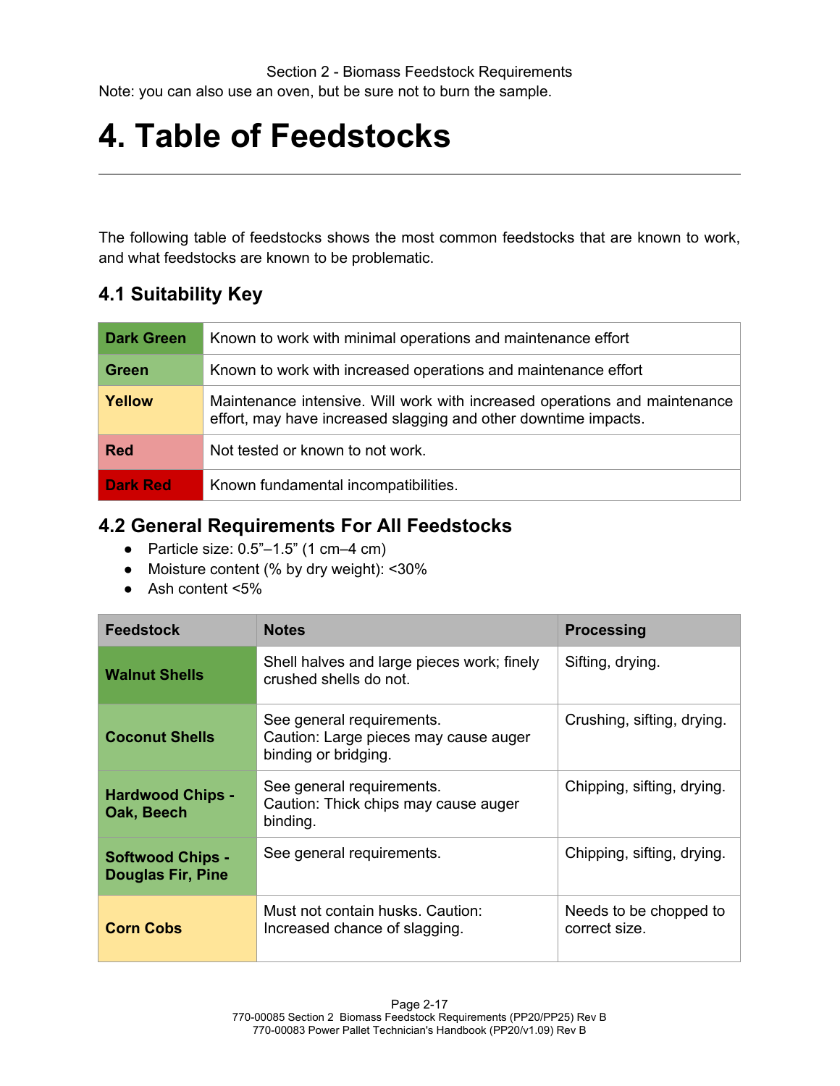## **4. Table of Feedstocks**

The following table of feedstocks shows the most common feedstocks that are known to work, and what feedstocks are known to be problematic.

## **4.1 Suitability Key**

| <b>Dark Green</b> | Known to work with minimal operations and maintenance effort                                                                                  |
|-------------------|-----------------------------------------------------------------------------------------------------------------------------------------------|
| <b>Green</b>      | Known to work with increased operations and maintenance effort                                                                                |
| Yellow            | Maintenance intensive. Will work with increased operations and maintenance<br>effort, may have increased slagging and other downtime impacts. |
| <b>Red</b>        | Not tested or known to not work.                                                                                                              |
| <b>Dark Red</b>   | Known fundamental incompatibilities.                                                                                                          |

## **4.2 General Requirements For All Feedstocks**

- Particle size:  $0.5^{\degree}$  –1.5" (1 cm –4 cm)
- Moisture content (% by dry weight): <30%
- Ash content <5%

| <b>Feedstock</b>                                    | <b>Notes</b>                                                                               | <b>Processing</b>                       |
|-----------------------------------------------------|--------------------------------------------------------------------------------------------|-----------------------------------------|
| <b>Walnut Shells</b>                                | Shell halves and large pieces work; finely<br>crushed shells do not.                       | Sifting, drying.                        |
| <b>Coconut Shells</b>                               | See general requirements.<br>Caution: Large pieces may cause auger<br>binding or bridging. | Crushing, sifting, drying.              |
| <b>Hardwood Chips -</b><br>Oak, Beech               | See general requirements.<br>Caution: Thick chips may cause auger<br>binding.              | Chipping, sifting, drying.              |
| <b>Softwood Chips -</b><br><b>Douglas Fir, Pine</b> | See general requirements.                                                                  | Chipping, sifting, drying.              |
| <b>Corn Cobs</b>                                    | Must not contain husks. Caution:<br>Increased chance of slagging.                          | Needs to be chopped to<br>correct size. |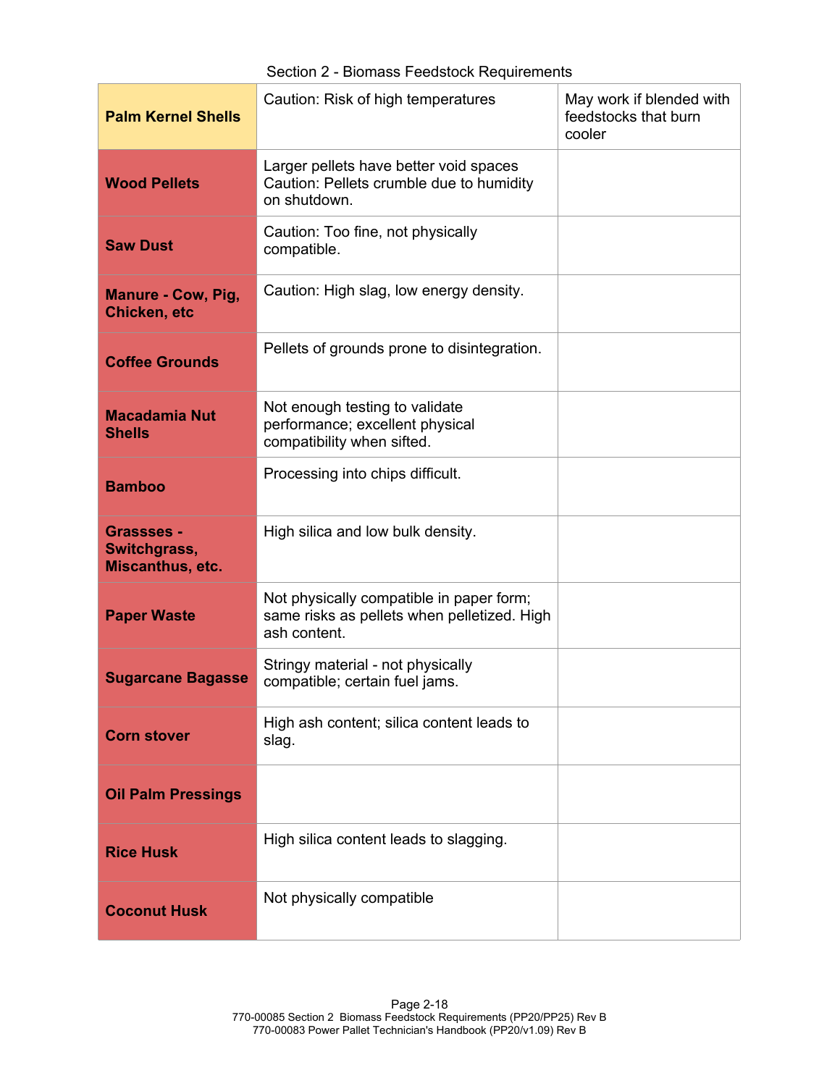| <b>Palm Kernel Shells</b>                      | Caution: Risk of high temperatures                                                                      | May work if blended with<br>feedstocks that burn<br>cooler |
|------------------------------------------------|---------------------------------------------------------------------------------------------------------|------------------------------------------------------------|
| <b>Wood Pellets</b>                            | Larger pellets have better void spaces<br>Caution: Pellets crumble due to humidity<br>on shutdown.      |                                                            |
| <b>Saw Dust</b>                                | Caution: Too fine, not physically<br>compatible.                                                        |                                                            |
| Manure - Cow, Pig,<br>Chicken, etc             | Caution: High slag, low energy density.                                                                 |                                                            |
| <b>Coffee Grounds</b>                          | Pellets of grounds prone to disintegration.                                                             |                                                            |
| <b>Macadamia Nut</b><br><b>Shells</b>          | Not enough testing to validate<br>performance; excellent physical<br>compatibility when sifted.         |                                                            |
| <b>Bamboo</b>                                  | Processing into chips difficult.                                                                        |                                                            |
| Grassses -<br>Switchgrass,<br>Miscanthus, etc. | High silica and low bulk density.                                                                       |                                                            |
| <b>Paper Waste</b>                             | Not physically compatible in paper form;<br>same risks as pellets when pelletized. High<br>ash content. |                                                            |
| <b>Sugarcane Bagasse</b>                       | Stringy material - not physically<br>compatible; certain fuel jams.                                     |                                                            |
| <b>Corn stover</b>                             | High ash content; silica content leads to<br>slag.                                                      |                                                            |
| <b>Oil Palm Pressings</b>                      |                                                                                                         |                                                            |
| <b>Rice Husk</b>                               | High silica content leads to slagging.                                                                  |                                                            |
| <b>Coconut Husk</b>                            | Not physically compatible                                                                               |                                                            |

Section 2 - Biomass Feedstock Requirements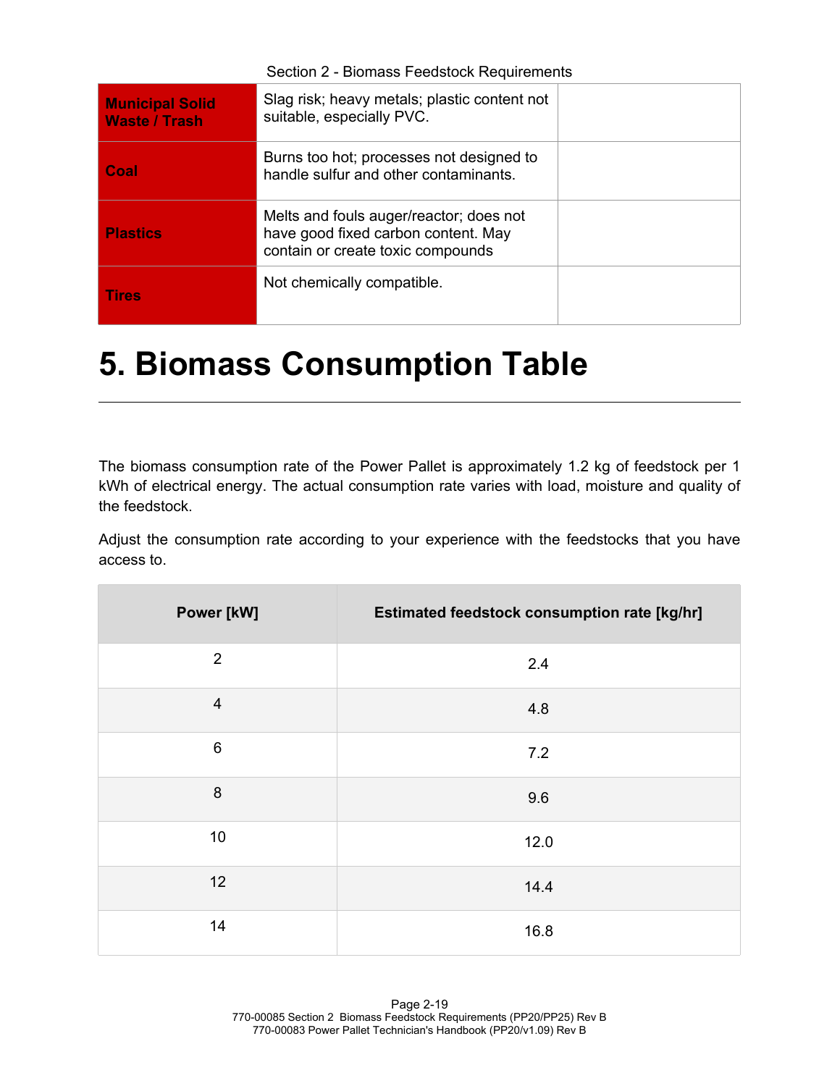| Section 2 - Biomass Feedstock Requirements     |                                                                                                                     |  |
|------------------------------------------------|---------------------------------------------------------------------------------------------------------------------|--|
| <b>Municipal Solid</b><br><b>Waste / Trash</b> | Slag risk; heavy metals; plastic content not<br>suitable, especially PVC.                                           |  |
| Coal                                           | Burns too hot; processes not designed to<br>handle sulfur and other contaminants.                                   |  |
| <b>Plastics</b>                                | Melts and fouls auger/reactor; does not<br>have good fixed carbon content. May<br>contain or create toxic compounds |  |
| <b>Tires</b>                                   | Not chemically compatible.                                                                                          |  |

## **5. Biomass Consumption Table**

The biomass consumption rate of the Power Pallet is approximately 1.2 kg of feedstock per 1 kWh of electrical energy. The actual consumption rate varies with load, moisture and quality of the feedstock.

Adjust the consumption rate according to your experience with the feedstocks that you have access to.

| Power [kW]       | Estimated feedstock consumption rate [kg/hr] |
|------------------|----------------------------------------------|
| 2                | 2.4                                          |
| $\overline{4}$   | 4.8                                          |
| $6\,$            | 7.2                                          |
| $\boldsymbol{8}$ | 9.6                                          |
| 10               | 12.0                                         |
| 12               | 14.4                                         |
| 14               | 16.8                                         |